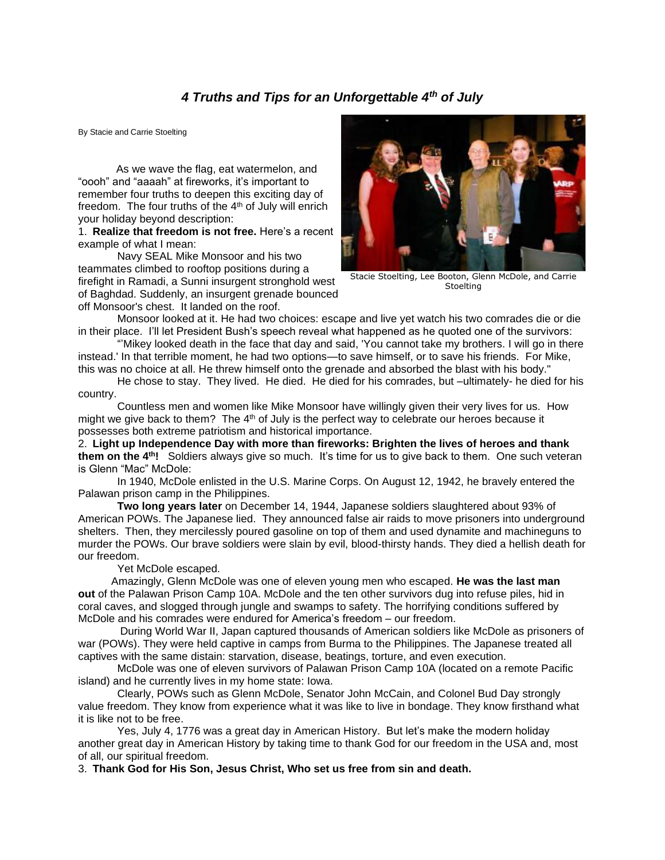## *4 Truths and Tips for an Unforgettable 4th of July*

By Stacie and Carrie Stoelting

 As we wave the flag, eat watermelon, and "oooh" and "aaaah" at fireworks, it's important to remember four truths to deepen this exciting day of freedom. The four truths of the  $4<sup>th</sup>$  of July will enrich your holiday beyond description:

1. **Realize that freedom is not free.** Here's a recent example of what I mean:

Navy SEAL Mike Monsoor and his two teammates climbed to rooftop positions during a firefight in Ramadi, a Sunni insurgent stronghold west of Baghdad. Suddenly, an insurgent grenade bounced off Monsoor's chest. It landed on the roof.



Stacie Stoelting, Lee Booton, Glenn McDole, and Carrie **Stoelting** 

Monsoor looked at it. He had two choices: escape and live yet watch his two comrades die or die in their place. I'll let President Bush's speech reveal what happened as he quoted one of the survivors:

"'Mikey looked death in the face that day and said, 'You cannot take my brothers. I will go in there instead.' In that terrible moment, he had two options—to save himself, or to save his friends. For Mike, this was no choice at all. He threw himself onto the grenade and absorbed the blast with his body."

He chose to stay. They lived. He died. He died for his comrades, but –ultimately- he died for his country.

Countless men and women like Mike Monsoor have willingly given their very lives for us. How might we give back to them? The  $4<sup>th</sup>$  of July is the perfect way to celebrate our heroes because it possesses both extreme patriotism and historical importance.

2. **Light up Independence Day with more than fireworks: Brighten the lives of heroes and thank them on the 4th!** Soldiers always give so much. It's time for us to give back to them. One such veteran is Glenn "Mac" McDole:

In 1940, McDole enlisted in the U.S. Marine Corps. On August 12, 1942, he bravely entered the Palawan prison camp in the Philippines.

**Two long years later** on December 14, 1944, Japanese soldiers slaughtered about 93% of American POWs. The Japanese lied. They announced false air raids to move prisoners into underground shelters. Then, they mercilessly poured gasoline on top of them and used dynamite and machineguns to murder the POWs. Our brave soldiers were slain by evil, blood-thirsty hands. They died a hellish death for our freedom.

Yet McDole escaped.

 Amazingly, Glenn McDole was one of eleven young men who escaped. **He was the last man out** of the Palawan Prison Camp 10A. McDole and the ten other survivors dug into refuse piles, hid in coral caves, and slogged through jungle and swamps to safety. The horrifying conditions suffered by McDole and his comrades were endured for America's freedom – our freedom.

During World War II, Japan captured thousands of American soldiers like McDole as prisoners of war (POWs). They were held captive in camps from Burma to the Philippines. The Japanese treated all captives with the same distain: starvation, disease, beatings, torture, and even execution.

McDole was one of eleven survivors of Palawan Prison Camp 10A (located on a remote Pacific island) and he currently lives in my home state: Iowa.

Clearly, POWs such as Glenn McDole, Senator John McCain, and Colonel Bud Day strongly value freedom. They know from experience what it was like to live in bondage. They know firsthand what it is like not to be free.

Yes, July 4, 1776 was a great day in American History. But let's make the modern holiday another great day in American History by taking time to thank God for our freedom in the USA and, most of all, our spiritual freedom.

3. **Thank God for His Son, Jesus Christ, Who set us free from sin and death.**